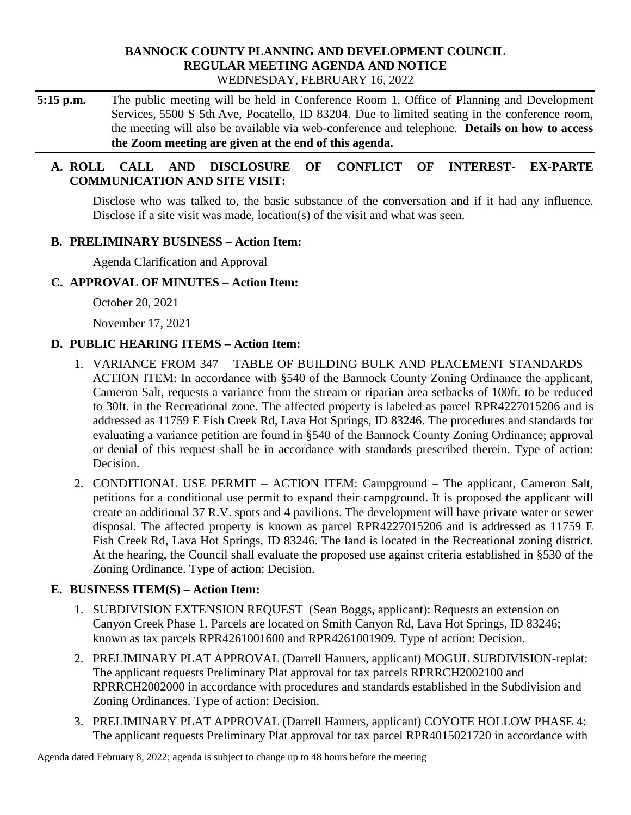#### **BANNOCK COUNTY PLANNING AND DEVELOPMENT COUNCIL REGULAR MEETING AGENDA AND NOTICE** WEDNESDAY, FEBRUARY 16, 2022

**5:15 p.m.** The public meeting will be held in Conference Room 1, Office of Planning and Development Services, 5500 S 5th Ave, Pocatello, ID 83204. Due to limited seating in the conference room, the meeting will also be available via web-conference and telephone. **Details on how to access the Zoom meeting are given at the end of this agenda.** 

## **A. ROLL CALL AND DISCLOSURE OF CONFLICT OF INTEREST- EX-PARTE COMMUNICATION AND SITE VISIT:**

Disclose who was talked to, the basic substance of the conversation and if it had any influence. Disclose if a site visit was made, location(s) of the visit and what was seen.

## **B. PRELIMINARY BUSINESS – Action Item:**

Agenda Clarification and Approval

## **C. APPROVAL OF MINUTES – Action Item:**

October 20, 2021

November 17, 2021

# **D. PUBLIC HEARING ITEMS – Action Item:**

- 1. VARIANCE FROM 347 TABLE OF BUILDING BULK AND PLACEMENT STANDARDS ACTION ITEM: In accordance with §540 of the Bannock County Zoning Ordinance the applicant, Cameron Salt, requests a variance from the stream or riparian area setbacks of 100ft. to be reduced to 30ft. in the Recreational zone. The affected property is labeled as parcel RPR4227015206 and is addressed as 11759 E Fish Creek Rd, Lava Hot Springs, ID 83246. The procedures and standards for evaluating a variance petition are found in §540 of the Bannock County Zoning Ordinance; approval or denial of this request shall be in accordance with standards prescribed therein. Type of action: Decision.
- 2. CONDITIONAL USE PERMIT ACTION ITEM: Campground The applicant, Cameron Salt, petitions for a conditional use permit to expand their campground. It is proposed the applicant will create an additional 37 R.V. spots and 4 pavilions. The development will have private water or sewer disposal. The affected property is known as parcel RPR4227015206 and is addressed as 11759 E Fish Creek Rd, Lava Hot Springs, ID 83246. The land is located in the Recreational zoning district. At the hearing, the Council shall evaluate the proposed use against criteria established in §530 of the Zoning Ordinance. Type of action: Decision.

# **E. BUSINESS ITEM(S) – Action Item:**

- 1. SUBDIVISION EXTENSION REQUEST (Sean Boggs, applicant): Requests an extension on Canyon Creek Phase 1. Parcels are located on Smith Canyon Rd, Lava Hot Springs, ID 83246; known as tax parcels RPR4261001600 and RPR4261001909. Type of action: Decision.
- 2. PRELIMINARY PLAT APPROVAL (Darrell Hanners, applicant) MOGUL SUBDIVISION-replat: The applicant requests Preliminary Plat approval for tax parcels RPRRCH2002100 and RPRRCH2002000 in accordance with procedures and standards established in the Subdivision and Zoning Ordinances. Type of action: Decision.
- 3. PRELIMINARY PLAT APPROVAL (Darrell Hanners, applicant) COYOTE HOLLOW PHASE 4: The applicant requests Preliminary Plat approval for tax parcel RPR4015021720 in accordance with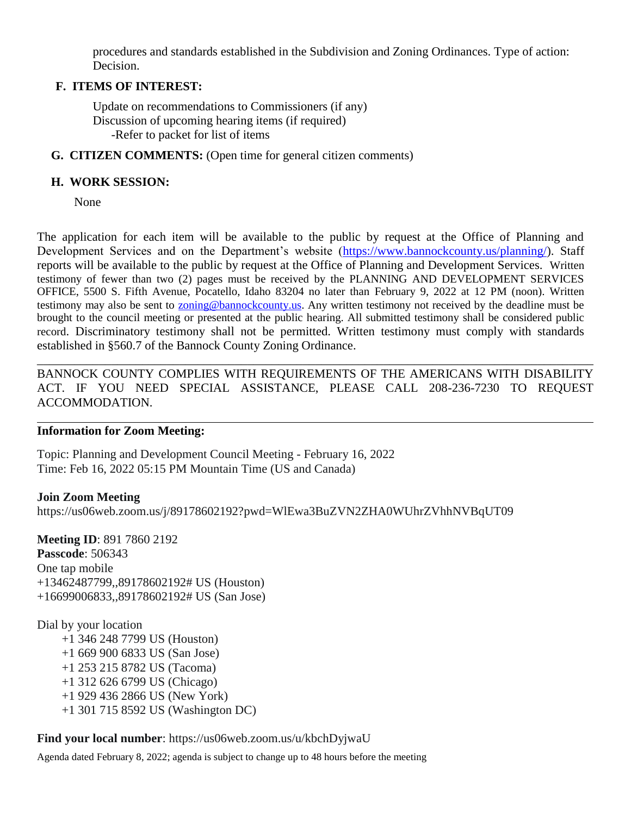procedures and standards established in the Subdivision and Zoning Ordinances. Type of action: Decision.

### **F. ITEMS OF INTEREST:**

Update on recommendations to Commissioners (if any) Discussion of upcoming hearing items (if required) -Refer to packet for list of items

**G. CITIZEN COMMENTS:** (Open time for general citizen comments)

### **H. WORK SESSION:**

None

The application for each item will be available to the public by request at the Office of Planning and Development Services and on the Department's website [\(https://www.bannockcounty.us/planning/\)](https://www.bannockcounty.us/planning/). Staff reports will be available to the public by request at the Office of Planning and Development Services. Written testimony of fewer than two (2) pages must be received by the PLANNING AND DEVELOPMENT SERVICES OFFICE, 5500 S. Fifth Avenue, Pocatello, Idaho 83204 no later than February 9, 2022 at 12 PM (noon). Written testimony may also be sent to **zoning@bannockcounty.us**. Any written testimony not received by the deadline must be brought to the council meeting or presented at the public hearing. All submitted testimony shall be considered public record. Discriminatory testimony shall not be permitted. Written testimony must comply with standards established in §560.7 of the Bannock County Zoning Ordinance.

\_\_\_\_\_\_\_\_\_\_\_\_\_\_\_\_\_\_\_\_\_\_\_\_\_\_\_\_\_\_\_\_\_\_\_\_\_\_\_\_\_\_\_\_\_\_\_\_\_\_\_\_\_\_\_\_\_\_\_\_\_\_\_\_\_\_\_\_\_\_\_\_\_\_\_\_\_\_\_\_\_\_\_\_\_\_\_\_\_\_ BANNOCK COUNTY COMPLIES WITH REQUIREMENTS OF THE AMERICANS WITH DISABILITY ACT. IF YOU NEED SPECIAL ASSISTANCE, PLEASE CALL 208-236-7230 TO REQUEST ACCOMMODATION.

#### **Information for Zoom Meeting:**

Topic: Planning and Development Council Meeting - February 16, 2022 Time: Feb 16, 2022 05:15 PM Mountain Time (US and Canada)

**Join Zoom Meeting** https://us06web.zoom.us/j/89178602192?pwd=WlEwa3BuZVN2ZHA0WUhrZVhhNVBqUT09

**Meeting ID**: 891 7860 2192 **Passcode**: 506343 One tap mobile +13462487799,,89178602192# US (Houston) +16699006833,,89178602192# US (San Jose)

Dial by your location

+1 346 248 7799 US (Houston) +1 669 900 6833 US (San Jose) +1 253 215 8782 US (Tacoma) +1 312 626 6799 US (Chicago) +1 929 436 2866 US (New York) +1 301 715 8592 US (Washington DC)

**Find your local number**: https://us06web.zoom.us/u/kbchDyjwaU

Agenda dated February 8, 2022; agenda is subject to change up to 48 hours before the meeting